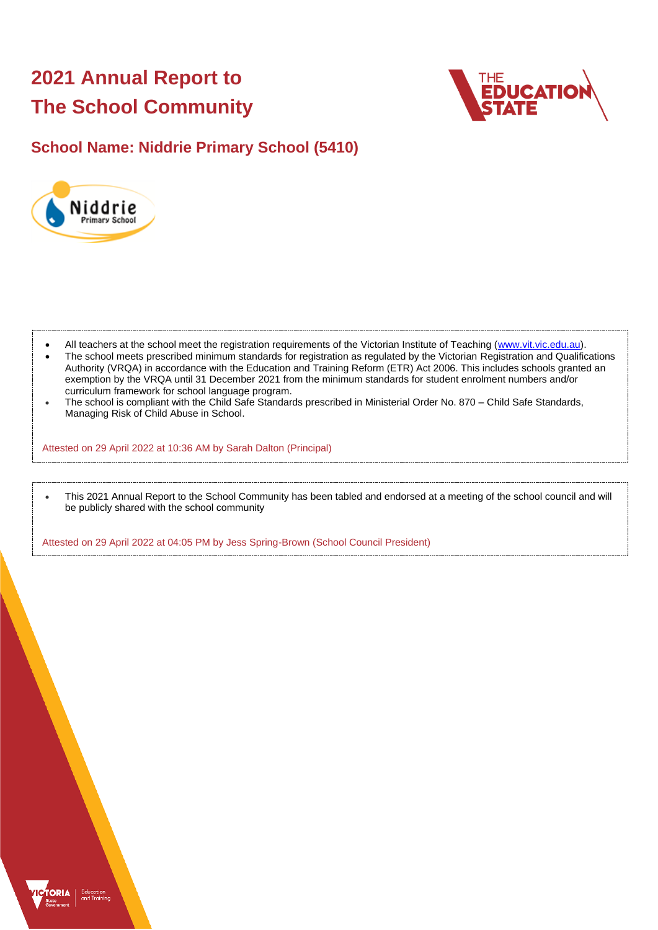# **2021 Annual Report to The School Community**



## **School Name: Niddrie Primary School (5410)**



- All teachers at the school meet the registration requirements of the Victorian Institute of Teaching [\(www.vit.vic.edu.au\)](https://www.vit.vic.edu.au/).
- The school meets prescribed minimum standards for registration as regulated by the Victorian Registration and Qualifications Authority (VRQA) in accordance with the Education and Training Reform (ETR) Act 2006. This includes schools granted an exemption by the VRQA until 31 December 2021 from the minimum standards for student enrolment numbers and/or curriculum framework for school language program.
- The school is compliant with the Child Safe Standards prescribed in Ministerial Order No. 870 Child Safe Standards, Managing Risk of Child Abuse in School.

Attested on 29 April 2022 at 10:36 AM by Sarah Dalton (Principal)

• This 2021 Annual Report to the School Community has been tabled and endorsed at a meeting of the school council and will be publicly shared with the school community

Attested on 29 April 2022 at 04:05 PM by Jess Spring-Brown (School Council President)

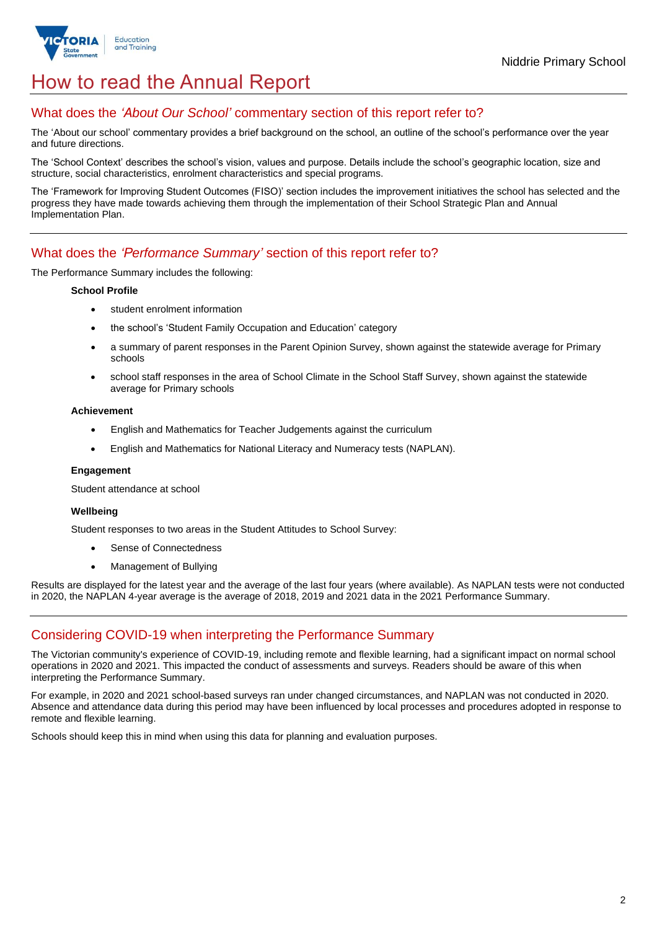

## How to read the Annual Report

### What does the *'About Our School'* commentary section of this report refer to?

The 'About our school' commentary provides a brief background on the school, an outline of the school's performance over the year and future directions.

The 'School Context' describes the school's vision, values and purpose. Details include the school's geographic location, size and structure, social characteristics, enrolment characteristics and special programs.

The 'Framework for Improving Student Outcomes (FISO)' section includes the improvement initiatives the school has selected and the progress they have made towards achieving them through the implementation of their School Strategic Plan and Annual Implementation Plan.

### What does the *'Performance Summary'* section of this report refer to?

The Performance Summary includes the following:

#### **School Profile**

- student enrolment information
- the school's 'Student Family Occupation and Education' category
- a summary of parent responses in the Parent Opinion Survey, shown against the statewide average for Primary schools
- school staff responses in the area of School Climate in the School Staff Survey, shown against the statewide average for Primary schools

#### **Achievement**

- English and Mathematics for Teacher Judgements against the curriculum
- English and Mathematics for National Literacy and Numeracy tests (NAPLAN).

#### **Engagement**

Student attendance at school

#### **Wellbeing**

Student responses to two areas in the Student Attitudes to School Survey:

- Sense of Connectedness
- Management of Bullying

Results are displayed for the latest year and the average of the last four years (where available). As NAPLAN tests were not conducted in 2020, the NAPLAN 4-year average is the average of 2018, 2019 and 2021 data in the 2021 Performance Summary.

## Considering COVID-19 when interpreting the Performance Summary

The Victorian community's experience of COVID-19, including remote and flexible learning, had a significant impact on normal school operations in 2020 and 2021. This impacted the conduct of assessments and surveys. Readers should be aware of this when interpreting the Performance Summary.

For example, in 2020 and 2021 school-based surveys ran under changed circumstances, and NAPLAN was not conducted in 2020. Absence and attendance data during this period may have been influenced by local processes and procedures adopted in response to remote and flexible learning.

Schools should keep this in mind when using this data for planning and evaluation purposes.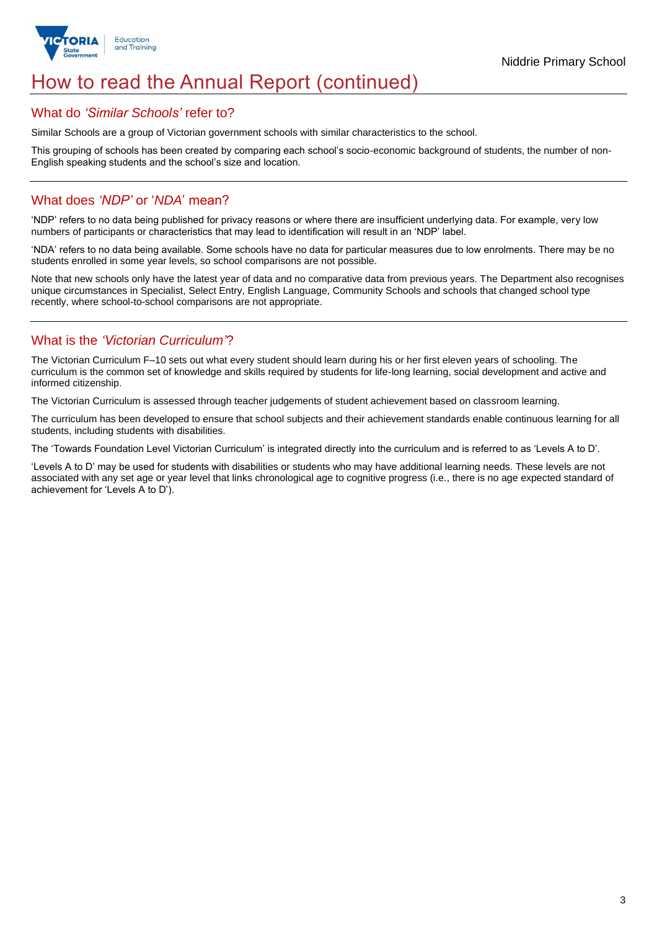

## How to read the Annual Report (continued)

### What do *'Similar Schools'* refer to?

Similar Schools are a group of Victorian government schools with similar characteristics to the school.

This grouping of schools has been created by comparing each school's socio-economic background of students, the number of non-English speaking students and the school's size and location.

### What does *'NDP'* or '*NDA*' mean?

'NDP' refers to no data being published for privacy reasons or where there are insufficient underlying data. For example, very low numbers of participants or characteristics that may lead to identification will result in an 'NDP' label.

'NDA' refers to no data being available. Some schools have no data for particular measures due to low enrolments. There may be no students enrolled in some year levels, so school comparisons are not possible.

Note that new schools only have the latest year of data and no comparative data from previous years. The Department also recognises unique circumstances in Specialist, Select Entry, English Language, Community Schools and schools that changed school type recently, where school-to-school comparisons are not appropriate.

## What is the *'Victorian Curriculum'*?

The Victorian Curriculum F–10 sets out what every student should learn during his or her first eleven years of schooling. The curriculum is the common set of knowledge and skills required by students for life-long learning, social development and active and informed citizenship.

The Victorian Curriculum is assessed through teacher judgements of student achievement based on classroom learning.

The curriculum has been developed to ensure that school subjects and their achievement standards enable continuous learning for all students, including students with disabilities.

The 'Towards Foundation Level Victorian Curriculum' is integrated directly into the curriculum and is referred to as 'Levels A to D'.

'Levels A to D' may be used for students with disabilities or students who may have additional learning needs. These levels are not associated with any set age or year level that links chronological age to cognitive progress (i.e., there is no age expected standard of achievement for 'Levels A to D').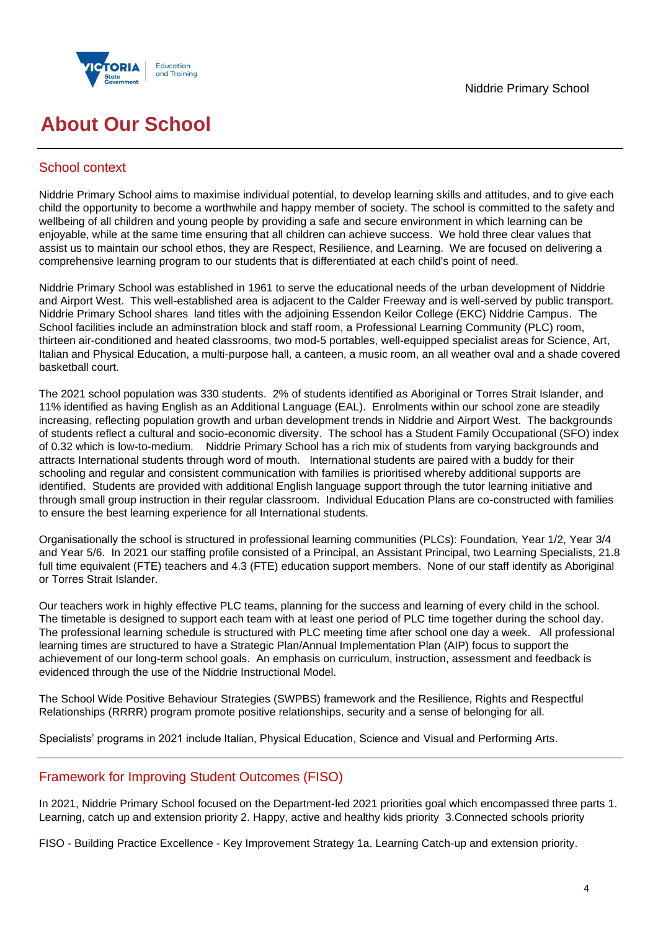

## **About Our School**

## School context

Niddrie Primary School aims to maximise individual potential, to develop learning skills and attitudes, and to give each child the opportunity to become a worthwhile and happy member of society. The school is committed to the safety and wellbeing of all children and young people by providing a safe and secure environment in which learning can be enjoyable, while at the same time ensuring that all children can achieve success. We hold three clear values that assist us to maintain our school ethos, they are Respect, Resilience, and Learning. We are focused on delivering a comprehensive learning program to our students that is differentiated at each child's point of need.

Niddrie Primary School was established in 1961 to serve the educational needs of the urban development of Niddrie and Airport West. This well-established area is adjacent to the Calder Freeway and is well-served by public transport. Niddrie Primary School shares land titles with the adjoining Essendon Keilor College (EKC) Niddrie Campus. The School facilities include an adminstration block and staff room, a Professional Learning Community (PLC) room, thirteen air-conditioned and heated classrooms, two mod-5 portables, well-equipped specialist areas for Science, Art, Italian and Physical Education, a multi-purpose hall, a canteen, a music room, an all weather oval and a shade covered basketball court.

The 2021 school population was 330 students. 2% of students identified as Aboriginal or Torres Strait Islander, and 11% identified as having English as an Additional Language (EAL). Enrolments within our school zone are steadily increasing, reflecting population growth and urban development trends in Niddrie and Airport West. The backgrounds of students reflect a cultural and socio-economic diversity. The school has a Student Family Occupational (SFO) index of 0.32 which is low-to-medium. Niddrie Primary School has a rich mix of students from varying backgrounds and attracts International students through word of mouth. International students are paired with a buddy for their schooling and regular and consistent communication with families is prioritised whereby additional supports are identified. Students are provided with additional English language support through the tutor learning initiative and through small group instruction in their regular classroom. Individual Education Plans are co-constructed with families to ensure the best learning experience for all International students.

Organisationally the school is structured in professional learning communities (PLCs): Foundation, Year 1/2, Year 3/4 and Year 5/6. In 2021 our staffing profile consisted of a Principal, an Assistant Principal, two Learning Specialists, 21.8 full time equivalent (FTE) teachers and 4.3 (FTE) education support members. None of our staff identify as Aboriginal or Torres Strait Islander.

Our teachers work in highly effective PLC teams, planning for the success and learning of every child in the school. The timetable is designed to support each team with at least one period of PLC time together during the school day. The professional learning schedule is structured with PLC meeting time after school one day a week. All professional learning times are structured to have a Strategic Plan/Annual Implementation Plan (AIP) focus to support the achievement of our long-term school goals. An emphasis on curriculum, instruction, assessment and feedback is evidenced through the use of the Niddrie Instructional Model.

The School Wide Positive Behaviour Strategies (SWPBS) framework and the Resilience, Rights and Respectful Relationships (RRRR) program promote positive relationships, security and a sense of belonging for all.

Specialists' programs in 2021 include Italian, Physical Education, Science and Visual and Performing Arts.

## Framework for Improving Student Outcomes (FISO)

In 2021, Niddrie Primary School focused on the Department-led 2021 priorities goal which encompassed three parts 1. Learning, catch up and extension priority 2. Happy, active and healthy kids priority 3.Connected schools priority

FISO - Building Practice Excellence - Key Improvement Strategy 1a. Learning Catch-up and extension priority.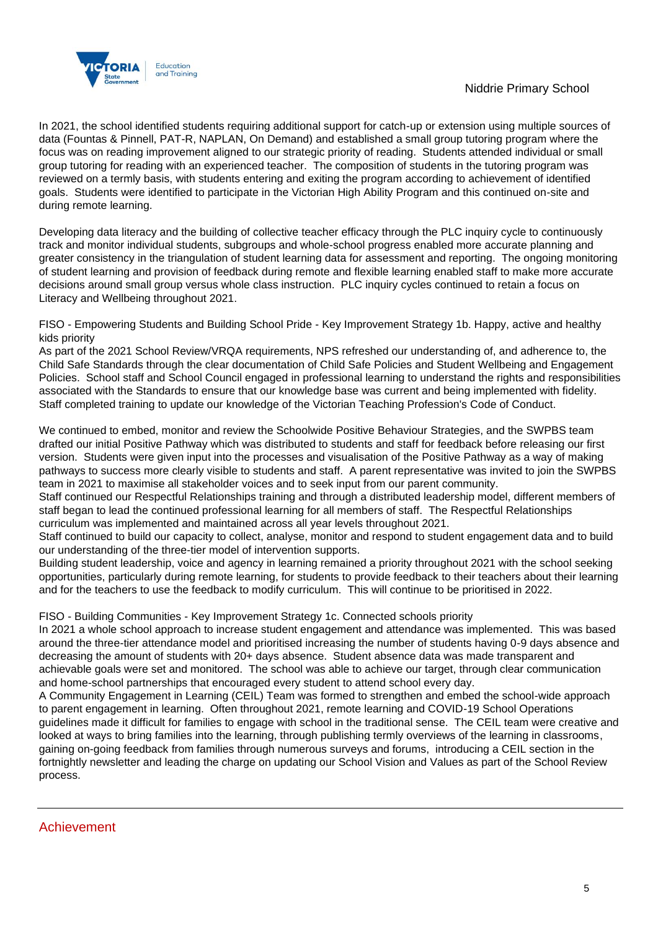

In 2021, the school identified students requiring additional support for catch-up or extension using multiple sources of data (Fountas & Pinnell, PAT-R, NAPLAN, On Demand) and established a small group tutoring program where the focus was on reading improvement aligned to our strategic priority of reading. Students attended individual or small group tutoring for reading with an experienced teacher. The composition of students in the tutoring program was reviewed on a termly basis, with students entering and exiting the program according to achievement of identified goals. Students were identified to participate in the Victorian High Ability Program and this continued on-site and during remote learning.

Developing data literacy and the building of collective teacher efficacy through the PLC inquiry cycle to continuously track and monitor individual students, subgroups and whole-school progress enabled more accurate planning and greater consistency in the triangulation of student learning data for assessment and reporting. The ongoing monitoring of student learning and provision of feedback during remote and flexible learning enabled staff to make more accurate decisions around small group versus whole class instruction. PLC inquiry cycles continued to retain a focus on Literacy and Wellbeing throughout 2021.

FISO - Empowering Students and Building School Pride - Key Improvement Strategy 1b. Happy, active and healthy kids priority

As part of the 2021 School Review/VRQA requirements, NPS refreshed our understanding of, and adherence to, the Child Safe Standards through the clear documentation of Child Safe Policies and Student Wellbeing and Engagement Policies. School staff and School Council engaged in professional learning to understand the rights and responsibilities associated with the Standards to ensure that our knowledge base was current and being implemented with fidelity. Staff completed training to update our knowledge of the Victorian Teaching Profession's Code of Conduct.

We continued to embed, monitor and review the Schoolwide Positive Behaviour Strategies, and the SWPBS team drafted our initial Positive Pathway which was distributed to students and staff for feedback before releasing our first version. Students were given input into the processes and visualisation of the Positive Pathway as a way of making pathways to success more clearly visible to students and staff. A parent representative was invited to join the SWPBS team in 2021 to maximise all stakeholder voices and to seek input from our parent community.

Staff continued our Respectful Relationships training and through a distributed leadership model, different members of staff began to lead the continued professional learning for all members of staff. The Respectful Relationships curriculum was implemented and maintained across all year levels throughout 2021.

Staff continued to build our capacity to collect, analyse, monitor and respond to student engagement data and to build our understanding of the three-tier model of intervention supports.

Building student leadership, voice and agency in learning remained a priority throughout 2021 with the school seeking opportunities, particularly during remote learning, for students to provide feedback to their teachers about their learning and for the teachers to use the feedback to modify curriculum. This will continue to be prioritised in 2022.

FISO - Building Communities - Key Improvement Strategy 1c. Connected schools priority

In 2021 a whole school approach to increase student engagement and attendance was implemented. This was based around the three-tier attendance model and prioritised increasing the number of students having 0-9 days absence and decreasing the amount of students with 20+ days absence. Student absence data was made transparent and achievable goals were set and monitored. The school was able to achieve our target, through clear communication and home-school partnerships that encouraged every student to attend school every day.

A Community Engagement in Learning (CEIL) Team was formed to strengthen and embed the school-wide approach to parent engagement in learning. Often throughout 2021, remote learning and COVID-19 School Operations guidelines made it difficult for families to engage with school in the traditional sense. The CEIL team were creative and looked at ways to bring families into the learning, through publishing termly overviews of the learning in classrooms, gaining on-going feedback from families through numerous surveys and forums, introducing a CEIL section in the fortnightly newsletter and leading the charge on updating our School Vision and Values as part of the School Review process.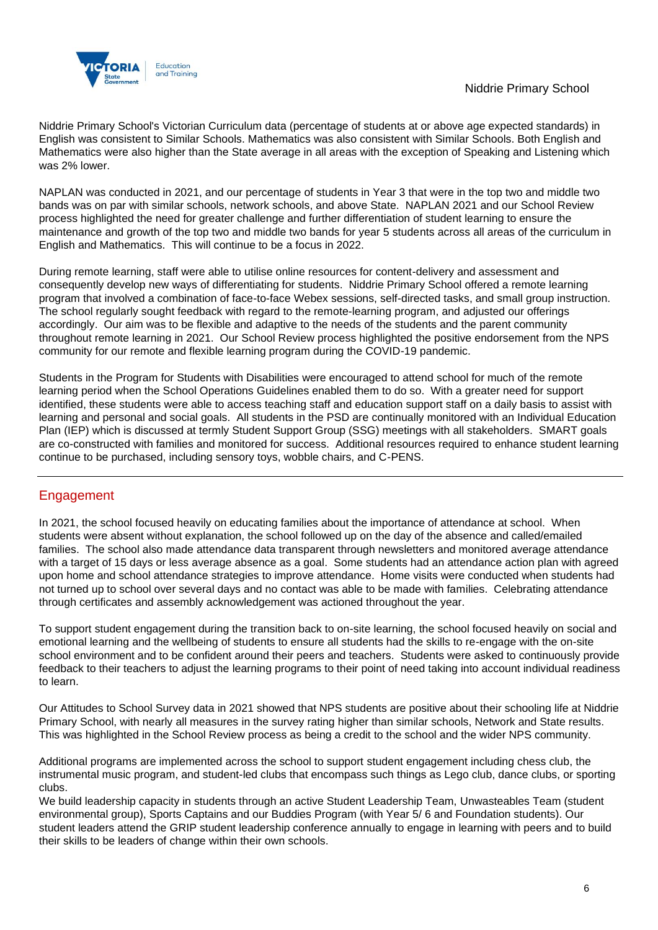

Niddrie Primary School's Victorian Curriculum data (percentage of students at or above age expected standards) in English was consistent to Similar Schools. Mathematics was also consistent with Similar Schools. Both English and Mathematics were also higher than the State average in all areas with the exception of Speaking and Listening which was 2% lower.

NAPLAN was conducted in 2021, and our percentage of students in Year 3 that were in the top two and middle two bands was on par with similar schools, network schools, and above State. NAPLAN 2021 and our School Review process highlighted the need for greater challenge and further differentiation of student learning to ensure the maintenance and growth of the top two and middle two bands for year 5 students across all areas of the curriculum in English and Mathematics. This will continue to be a focus in 2022.

During remote learning, staff were able to utilise online resources for content-delivery and assessment and consequently develop new ways of differentiating for students. Niddrie Primary School offered a remote learning program that involved a combination of face-to-face Webex sessions, self-directed tasks, and small group instruction. The school regularly sought feedback with regard to the remote-learning program, and adjusted our offerings accordingly. Our aim was to be flexible and adaptive to the needs of the students and the parent community throughout remote learning in 2021. Our School Review process highlighted the positive endorsement from the NPS community for our remote and flexible learning program during the COVID-19 pandemic.

Students in the Program for Students with Disabilities were encouraged to attend school for much of the remote learning period when the School Operations Guidelines enabled them to do so. With a greater need for support identified, these students were able to access teaching staff and education support staff on a daily basis to assist with learning and personal and social goals. All students in the PSD are continually monitored with an Individual Education Plan (IEP) which is discussed at termly Student Support Group (SSG) meetings with all stakeholders. SMART goals are co-constructed with families and monitored for success. Additional resources required to enhance student learning continue to be purchased, including sensory toys, wobble chairs, and C-PENS.

## Engagement

In 2021, the school focused heavily on educating families about the importance of attendance at school. When students were absent without explanation, the school followed up on the day of the absence and called/emailed families. The school also made attendance data transparent through newsletters and monitored average attendance with a target of 15 days or less average absence as a goal. Some students had an attendance action plan with agreed upon home and school attendance strategies to improve attendance. Home visits were conducted when students had not turned up to school over several days and no contact was able to be made with families. Celebrating attendance through certificates and assembly acknowledgement was actioned throughout the year.

To support student engagement during the transition back to on-site learning, the school focused heavily on social and emotional learning and the wellbeing of students to ensure all students had the skills to re-engage with the on-site school environment and to be confident around their peers and teachers. Students were asked to continuously provide feedback to their teachers to adjust the learning programs to their point of need taking into account individual readiness to learn.

Our Attitudes to School Survey data in 2021 showed that NPS students are positive about their schooling life at Niddrie Primary School, with nearly all measures in the survey rating higher than similar schools, Network and State results. This was highlighted in the School Review process as being a credit to the school and the wider NPS community.

Additional programs are implemented across the school to support student engagement including chess club, the instrumental music program, and student-led clubs that encompass such things as Lego club, dance clubs, or sporting clubs.

We build leadership capacity in students through an active Student Leadership Team, Unwasteables Team (student environmental group), Sports Captains and our Buddies Program (with Year 5/ 6 and Foundation students). Our student leaders attend the GRIP student leadership conference annually to engage in learning with peers and to build their skills to be leaders of change within their own schools.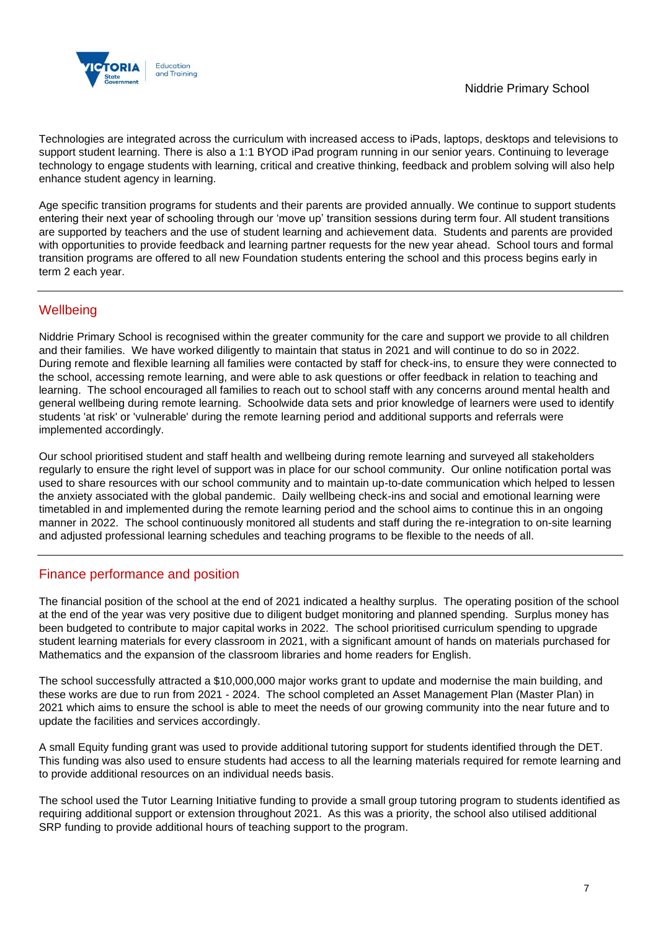

Technologies are integrated across the curriculum with increased access to iPads, laptops, desktops and televisions to support student learning. There is also a 1:1 BYOD iPad program running in our senior years. Continuing to leverage technology to engage students with learning, critical and creative thinking, feedback and problem solving will also help enhance student agency in learning.

Age specific transition programs for students and their parents are provided annually. We continue to support students entering their next year of schooling through our 'move up' transition sessions during term four. All student transitions are supported by teachers and the use of student learning and achievement data. Students and parents are provided with opportunities to provide feedback and learning partner requests for the new year ahead. School tours and formal transition programs are offered to all new Foundation students entering the school and this process begins early in term 2 each year.

## **Wellbeing**

Niddrie Primary School is recognised within the greater community for the care and support we provide to all children and their families. We have worked diligently to maintain that status in 2021 and will continue to do so in 2022. During remote and flexible learning all families were contacted by staff for check-ins, to ensure they were connected to the school, accessing remote learning, and were able to ask questions or offer feedback in relation to teaching and learning. The school encouraged all families to reach out to school staff with any concerns around mental health and general wellbeing during remote learning. Schoolwide data sets and prior knowledge of learners were used to identify students 'at risk' or 'vulnerable' during the remote learning period and additional supports and referrals were implemented accordingly.

Our school prioritised student and staff health and wellbeing during remote learning and surveyed all stakeholders regularly to ensure the right level of support was in place for our school community. Our online notification portal was used to share resources with our school community and to maintain up-to-date communication which helped to lessen the anxiety associated with the global pandemic. Daily wellbeing check-ins and social and emotional learning were timetabled in and implemented during the remote learning period and the school aims to continue this in an ongoing manner in 2022. The school continuously monitored all students and staff during the re-integration to on-site learning and adjusted professional learning schedules and teaching programs to be flexible to the needs of all.

## Finance performance and position

The financial position of the school at the end of 2021 indicated a healthy surplus. The operating position of the school at the end of the year was very positive due to diligent budget monitoring and planned spending. Surplus money has been budgeted to contribute to major capital works in 2022. The school prioritised curriculum spending to upgrade student learning materials for every classroom in 2021, with a significant amount of hands on materials purchased for Mathematics and the expansion of the classroom libraries and home readers for English.

The school successfully attracted a \$10,000,000 major works grant to update and modernise the main building, and these works are due to run from 2021 - 2024. The school completed an Asset Management Plan (Master Plan) in 2021 which aims to ensure the school is able to meet the needs of our growing community into the near future and to update the facilities and services accordingly.

A small Equity funding grant was used to provide additional tutoring support for students identified through the DET. This funding was also used to ensure students had access to all the learning materials required for remote learning and to provide additional resources on an individual needs basis.

The school used the Tutor Learning Initiative funding to provide a small group tutoring program to students identified as requiring additional support or extension throughout 2021. As this was a priority, the school also utilised additional SRP funding to provide additional hours of teaching support to the program.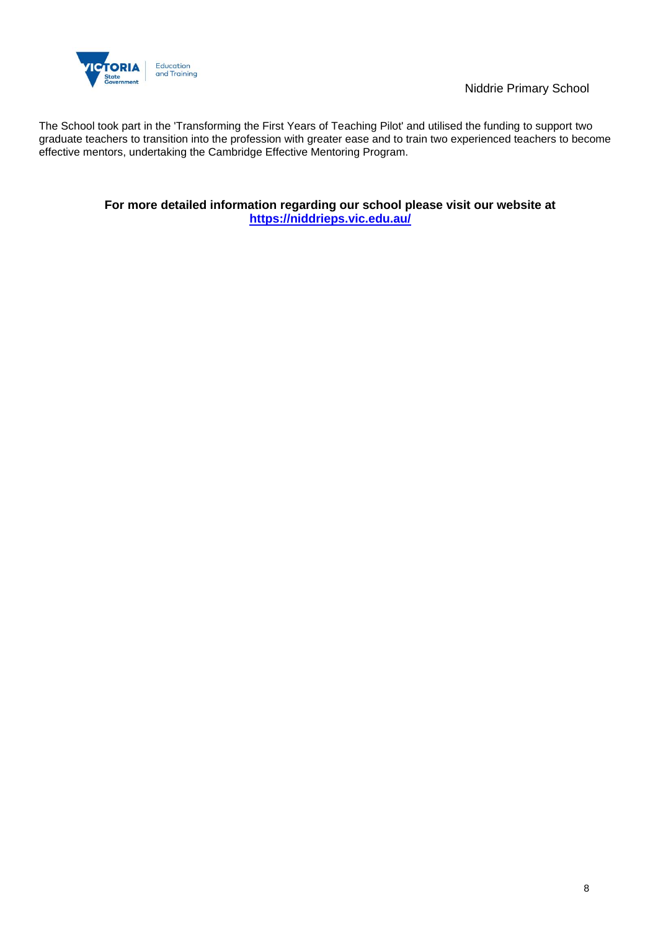

Niddrie Primary School

The School took part in the 'Transforming the First Years of Teaching Pilot' and utilised the funding to support two graduate teachers to transition into the profession with greater ease and to train two experienced teachers to become effective mentors, undertaking the Cambridge Effective Mentoring Program.

> **For more detailed information regarding our school please visit our website at <https://niddrieps.vic.edu.au/>**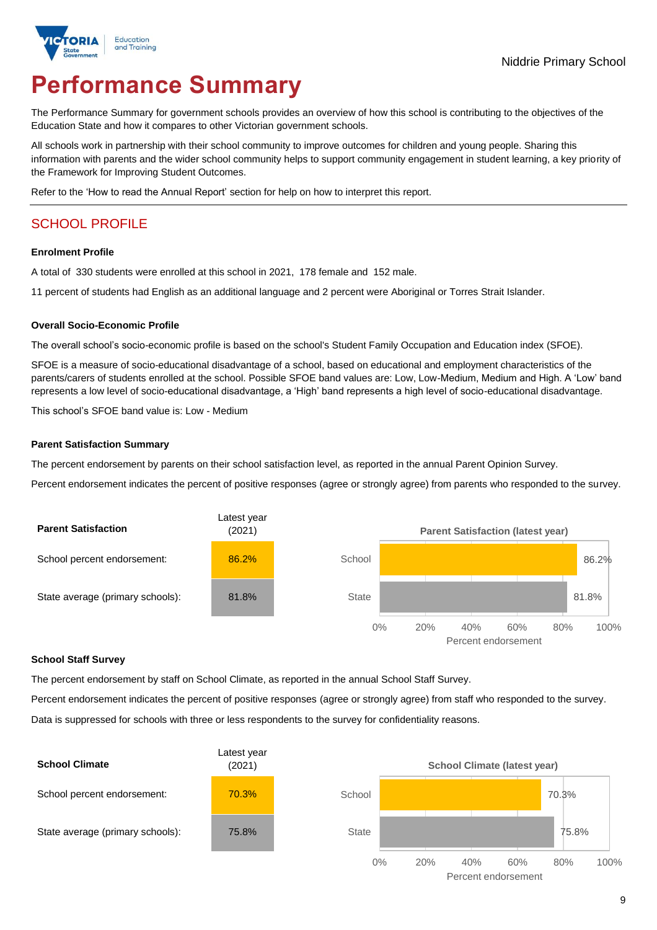

# **Performance Summary**

The Performance Summary for government schools provides an overview of how this school is contributing to the objectives of the Education State and how it compares to other Victorian government schools.

All schools work in partnership with their school community to improve outcomes for children and young people. Sharing this information with parents and the wider school community helps to support community engagement in student learning, a key priority of the Framework for Improving Student Outcomes.

Refer to the 'How to read the Annual Report' section for help on how to interpret this report.

## SCHOOL PROFILE

#### **Enrolment Profile**

A total of 330 students were enrolled at this school in 2021, 178 female and 152 male.

11 percent of students had English as an additional language and 2 percent were Aboriginal or Torres Strait Islander.

#### **Overall Socio-Economic Profile**

The overall school's socio-economic profile is based on the school's Student Family Occupation and Education index (SFOE).

SFOE is a measure of socio-educational disadvantage of a school, based on educational and employment characteristics of the parents/carers of students enrolled at the school. Possible SFOE band values are: Low, Low-Medium, Medium and High. A 'Low' band represents a low level of socio-educational disadvantage, a 'High' band represents a high level of socio-educational disadvantage.

This school's SFOE band value is: Low - Medium

#### **Parent Satisfaction Summary**

The percent endorsement by parents on their school satisfaction level, as reported in the annual Parent Opinion Survey.

Percent endorsement indicates the percent of positive responses (agree or strongly agree) from parents who responded to the survey.



#### **School Staff Survey**

The percent endorsement by staff on School Climate, as reported in the annual School Staff Survey.

Percent endorsement indicates the percent of positive responses (agree or strongly agree) from staff who responded to the survey. Data is suppressed for schools with three or less respondents to the survey for confidentiality reasons.

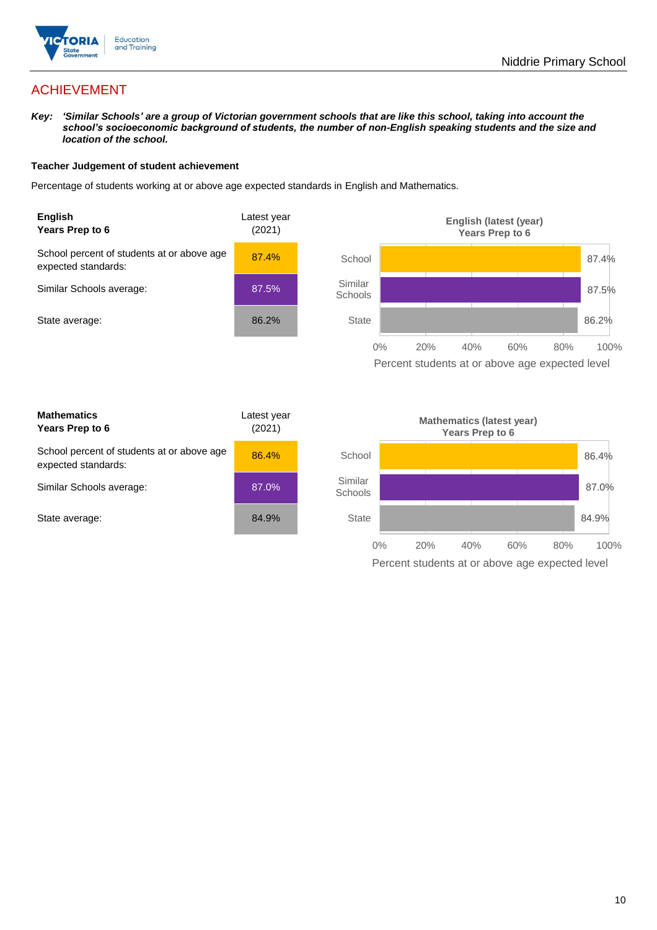

## ACHIEVEMENT

*Key: 'Similar Schools' are a group of Victorian government schools that are like this school, taking into account the school's socioeconomic background of students, the number of non-English speaking students and the size and location of the school.*

#### **Teacher Judgement of student achievement**

Percentage of students working at or above age expected standards in English and Mathematics.



Percent students at or above age expected level

| <b>Mathematics</b><br>Years Prep to 6                             | Latest year<br>(2021) |
|-------------------------------------------------------------------|-----------------------|
| School percent of students at or above age<br>expected standards: | 86.4%                 |
| Similar Schools average:                                          | 87.0%                 |
| State average:                                                    | 84.9%                 |

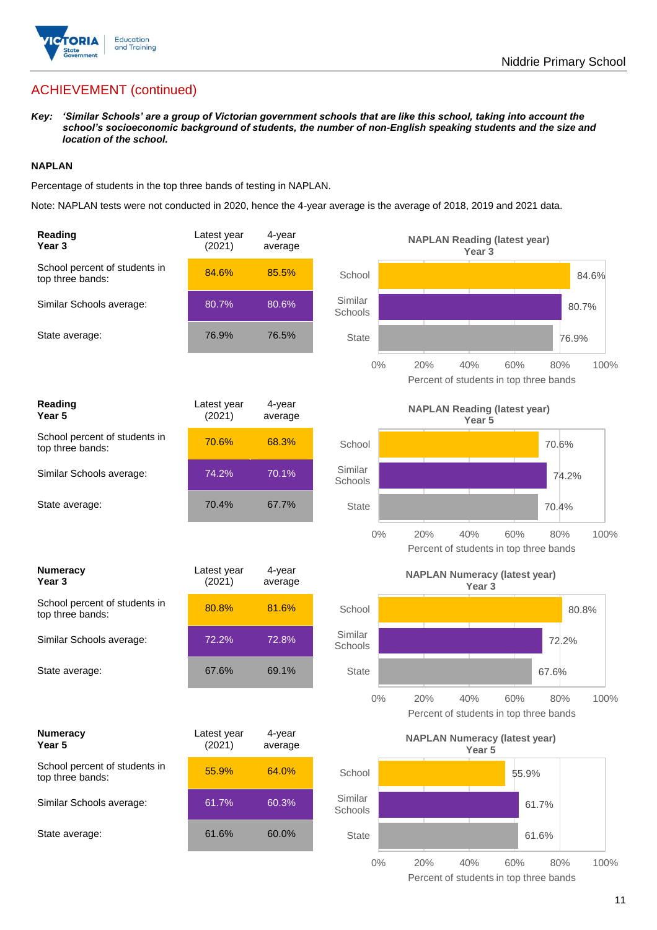

## ACHIEVEMENT (continued)

*Key: 'Similar Schools' are a group of Victorian government schools that are like this school, taking into account the school's socioeconomic background of students, the number of non-English speaking students and the size and location of the school.*

#### **NAPLAN**

Percentage of students in the top three bands of testing in NAPLAN.

Note: NAPLAN tests were not conducted in 2020, hence the 4-year average is the average of 2018, 2019 and 2021 data.

| Reading<br>Year <sub>3</sub>                      | Latest year<br>(2021) | 4-year<br>average |                    | <b>NAPLAN Reading (latest year)</b><br>Year 3             |                                                      |       |
|---------------------------------------------------|-----------------------|-------------------|--------------------|-----------------------------------------------------------|------------------------------------------------------|-------|
| School percent of students in<br>top three bands: | 84.6%                 | 85.5%             | School             |                                                           |                                                      | 84.6% |
| Similar Schools average:                          | 80.7%                 | 80.6%             | Similar<br>Schools |                                                           | 80.7%                                                |       |
| State average:                                    | 76.9%                 | 76.5%             | <b>State</b>       |                                                           | 76.9%                                                |       |
|                                                   |                       |                   | $0\%$              | 20%<br>40%                                                | 60%<br>80%<br>Percent of students in top three bands | 100%  |
| <b>Reading</b><br>Year 5                          | Latest year<br>(2021) | 4-year<br>average |                    | <b>NAPLAN Reading (latest year)</b><br>Year 5             |                                                      |       |
| School percent of students in<br>top three bands: | 70.6%                 | 68.3%             | School             |                                                           | 70.6%                                                |       |
| Similar Schools average:                          | 74.2%                 | 70.1%             | Similar<br>Schools |                                                           | 74.2%                                                |       |
| State average:                                    | 70.4%                 | 67.7%             | <b>State</b>       |                                                           | 70.4%                                                |       |
|                                                   |                       |                   | $0\%$              | 20%<br>40%                                                | 60%<br>80%<br>Percent of students in top three bands | 100%  |
| <b>Numeracy</b><br>Year 3                         | Latest year<br>(2021) | 4-year<br>average |                    | <b>NAPLAN Numeracy (latest year)</b><br>Year <sub>3</sub> |                                                      |       |
| School percent of students in<br>top three bands: | 80.8%                 | 81.6%             | School             |                                                           | 80.8%                                                |       |
| Similar Schools average:                          | 72.2%                 | 72.8%             | Similar<br>Schools |                                                           | 72.2%                                                |       |
| State average:                                    | 67.6%                 | 69.1%             | <b>State</b>       |                                                           | 67.6%                                                |       |
|                                                   |                       |                   | 0%                 | 20%<br>40%                                                | 60%<br>80%<br>Percent of students in top three bands | 100%  |
| <b>Numeracy</b><br>Year 5                         | Latest year<br>(2021) | 4-year<br>average |                    | <b>NAPLAN Numeracy (latest year)</b><br>Year 5            |                                                      |       |
| School percent of students in<br>top three bands: | 55.9%                 | 64.0%             | School             |                                                           | 55.9%                                                |       |
| Similar Schools average:                          | 61.7%                 | 60.3%             | Similar<br>Schools |                                                           | 61.7%                                                |       |
| State average:                                    | 61.6%                 | 60.0%             | <b>State</b>       |                                                           | 61.6%                                                |       |
|                                                   |                       |                   | $0\%$              | 20%<br>40%                                                | 60%<br>80%                                           | 100%  |

Percent of students in top three bands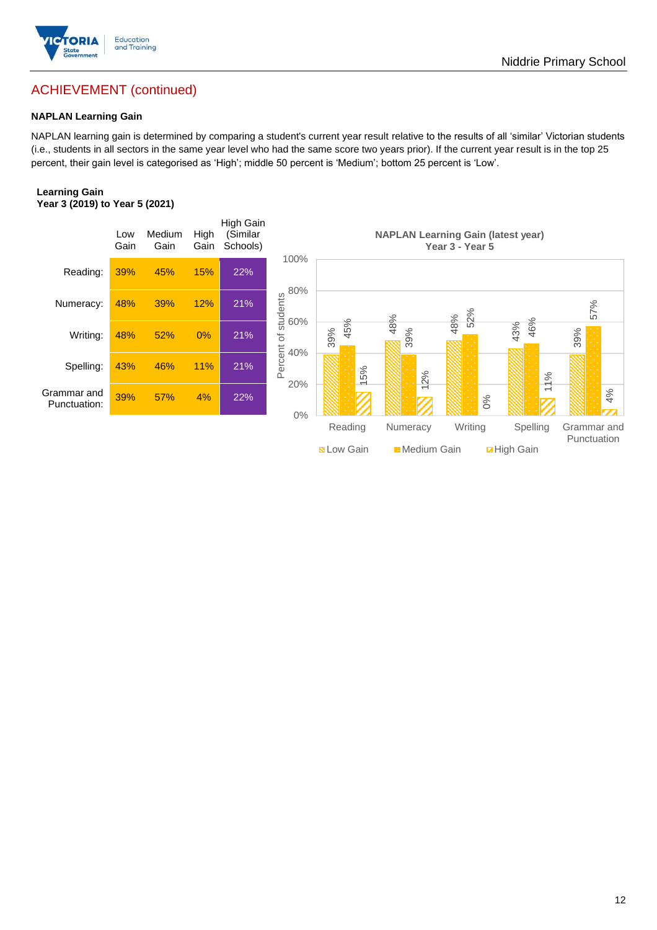

## ACHIEVEMENT (continued)

#### **NAPLAN Learning Gain**

NAPLAN learning gain is determined by comparing a student's current year result relative to the results of all 'similar' Victorian students (i.e., students in all sectors in the same year level who had the same score two years prior). If the current year result is in the top 25 percent, their gain level is categorised as 'High'; middle 50 percent is 'Medium'; bottom 25 percent is 'Low'.

#### **Learning Gain Year 3 (2019) to Year 5 (2021)**

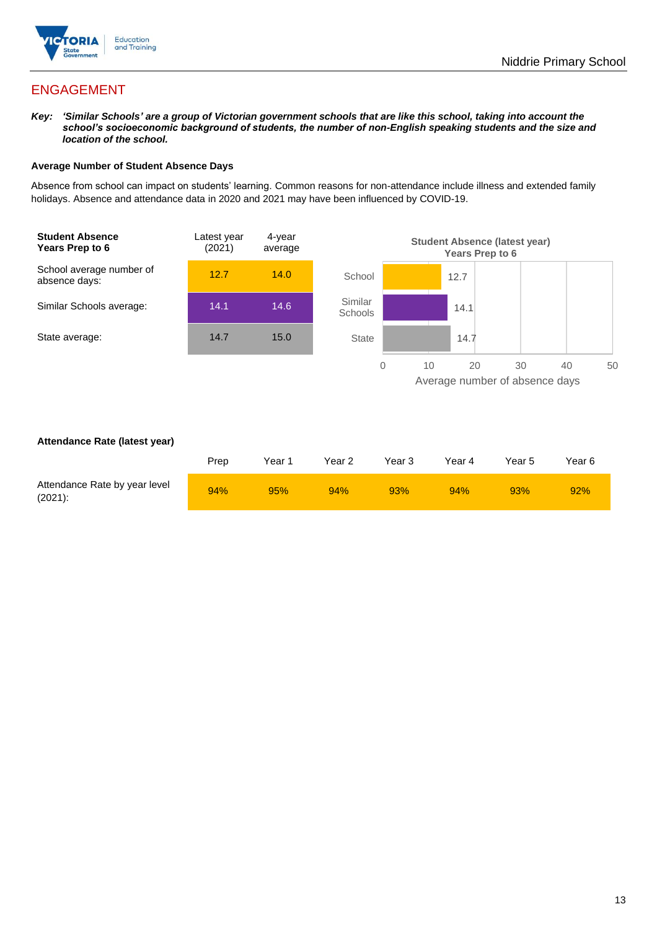

## ENGAGEMENT

*Key: 'Similar Schools' are a group of Victorian government schools that are like this school, taking into account the school's socioeconomic background of students, the number of non-English speaking students and the size and location of the school.*

#### **Average Number of Student Absence Days**

Absence from school can impact on students' learning. Common reasons for non-attendance include illness and extended family holidays. Absence and attendance data in 2020 and 2021 may have been influenced by COVID-19.



#### **Attendance Rate (latest year)**

|                                             | Prep | Year 1 | Year 2 | Year 3 | Year 4 | Year 5 | Year 6 |
|---------------------------------------------|------|--------|--------|--------|--------|--------|--------|
| Attendance Rate by year level<br>$(2021)$ : | 94%  | 95%    | 94%    | 93%    | 94%    | 93%    | 92%    |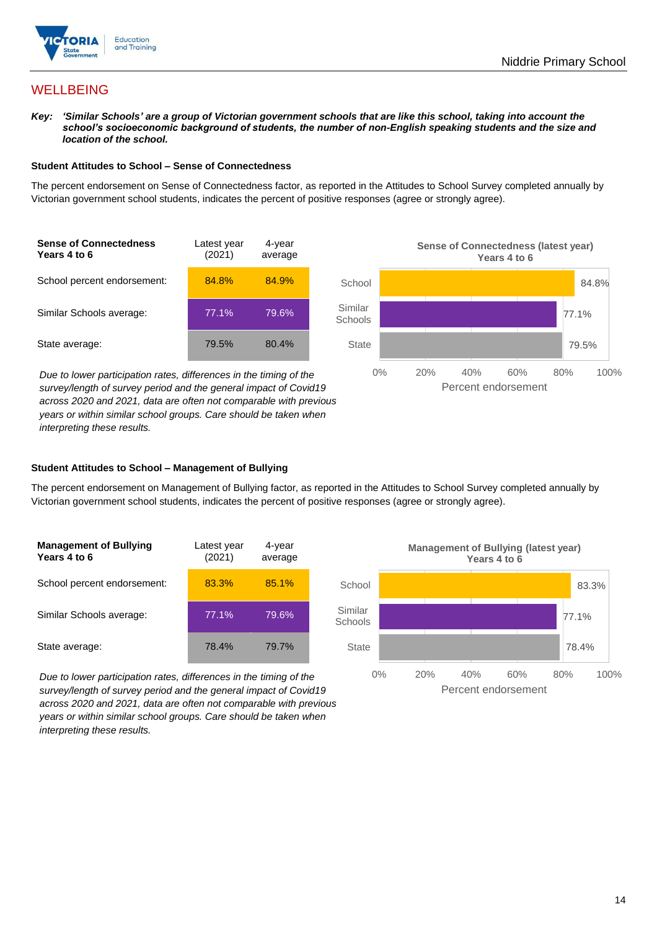

## **WELLBEING**

*Key: 'Similar Schools' are a group of Victorian government schools that are like this school, taking into account the school's socioeconomic background of students, the number of non-English speaking students and the size and location of the school.*

#### **Student Attitudes to School – Sense of Connectedness**

The percent endorsement on Sense of Connectedness factor, as reported in the Attitudes to School Survey completed annually by Victorian government school students, indicates the percent of positive responses (agree or strongly agree).



*Due to lower participation rates, differences in the timing of the survey/length of survey period and the general impact of Covid19 across 2020 and 2021, data are often not comparable with previous years or within similar school groups. Care should be taken when interpreting these results.*



#### **Student Attitudes to School – Management of Bullying**

The percent endorsement on Management of Bullying factor, as reported in the Attitudes to School Survey completed annually by Victorian government school students, indicates the percent of positive responses (agree or strongly agree).

| <b>Management of Bullying</b><br>Years 4 to 6 | Latest year<br>(2021) | 4-year<br>average |  |
|-----------------------------------------------|-----------------------|-------------------|--|
| School percent endorsement:                   | 83.3%                 | 85.1%             |  |
| Similar Schools average:                      | 77.1%                 | 79.6%             |  |
| State average:                                | 78.4%                 | 79.7%             |  |

*Due to lower participation rates, differences in the timing of the survey/length of survey period and the general impact of Covid19 across 2020 and 2021, data are often not comparable with previous years or within similar school groups. Care should be taken when interpreting these results.*

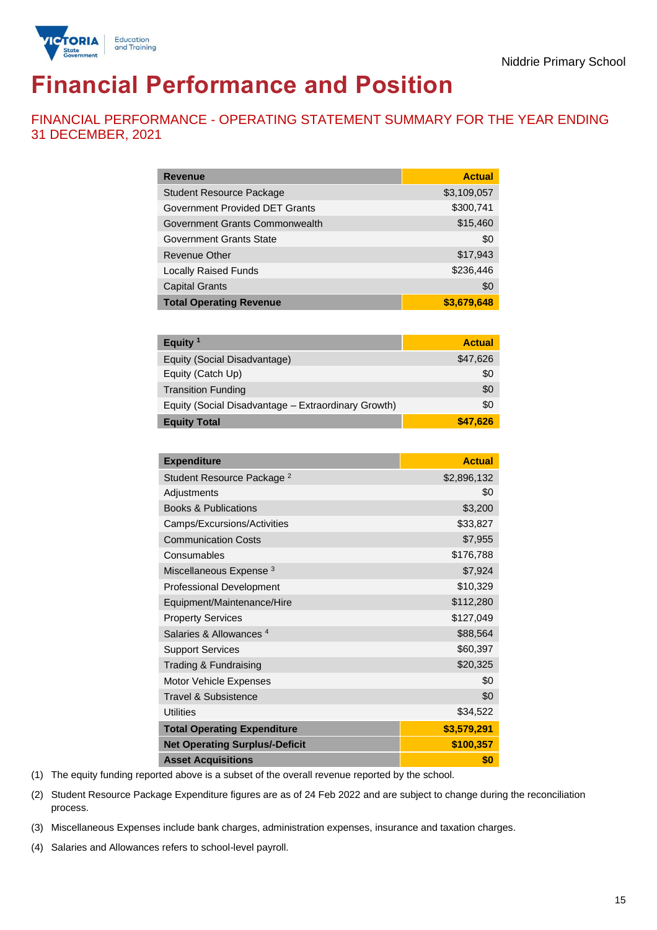

# **Financial Performance and Position**

FINANCIAL PERFORMANCE - OPERATING STATEMENT SUMMARY FOR THE YEAR ENDING 31 DECEMBER, 2021

| <b>Revenue</b>                  | <b>Actual</b> |
|---------------------------------|---------------|
| <b>Student Resource Package</b> | \$3,109,057   |
| Government Provided DET Grants  | \$300,741     |
| Government Grants Commonwealth  | \$15,460      |
| Government Grants State         | \$0           |
| <b>Revenue Other</b>            | \$17,943      |
| <b>Locally Raised Funds</b>     | \$236,446     |
| <b>Capital Grants</b>           | \$0           |
| <b>Total Operating Revenue</b>  | \$3,679,648   |

| Equity $1$                                          | <b>Actual</b> |
|-----------------------------------------------------|---------------|
| Equity (Social Disadvantage)                        | \$47,626      |
| Equity (Catch Up)                                   | \$0           |
| <b>Transition Funding</b>                           | \$0           |
| Equity (Social Disadvantage - Extraordinary Growth) | \$0           |
| <b>Equity Total</b>                                 | \$47.626      |

| <b>Expenditure</b>                    | <b>Actual</b> |
|---------------------------------------|---------------|
| Student Resource Package <sup>2</sup> | \$2,896,132   |
| Adjustments                           | \$0           |
| <b>Books &amp; Publications</b>       | \$3,200       |
| Camps/Excursions/Activities           | \$33,827      |
| <b>Communication Costs</b>            | \$7,955       |
| Consumables                           | \$176,788     |
| Miscellaneous Expense <sup>3</sup>    | \$7,924       |
| <b>Professional Development</b>       | \$10,329      |
| Equipment/Maintenance/Hire            | \$112,280     |
| <b>Property Services</b>              | \$127,049     |
| Salaries & Allowances <sup>4</sup>    | \$88,564      |
| <b>Support Services</b>               | \$60,397      |
| Trading & Fundraising                 | \$20,325      |
| Motor Vehicle Expenses                | \$0           |
| Travel & Subsistence                  | \$0           |
| <b>Utilities</b>                      | \$34,522      |
| <b>Total Operating Expenditure</b>    | \$3,579,291   |
| <b>Net Operating Surplus/-Deficit</b> | \$100,357     |
| <b>Asset Acquisitions</b>             | \$0           |

(1) The equity funding reported above is a subset of the overall revenue reported by the school.

(2) Student Resource Package Expenditure figures are as of 24 Feb 2022 and are subject to change during the reconciliation process.

(3) Miscellaneous Expenses include bank charges, administration expenses, insurance and taxation charges.

(4) Salaries and Allowances refers to school-level payroll.